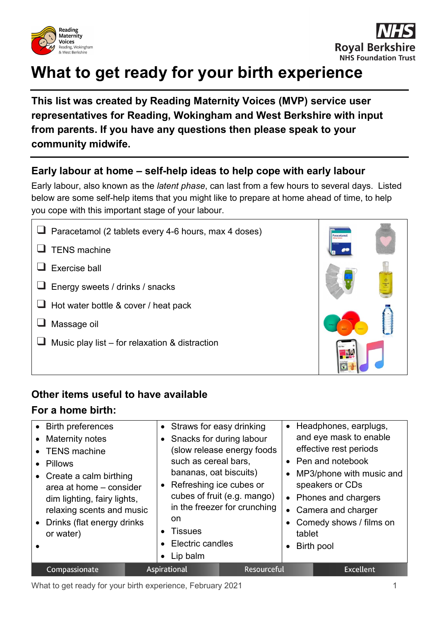



# **What to get ready for your birth experience**

**This list was created by Reading Maternity Voices (MVP) service user representatives for Reading, Wokingham and West Berkshire with input from parents. If you have any questions then please speak to your community midwife.**

#### **Early labour at home – self-help ideas to help cope with early labour**

Early labour, also known as the *latent phase*, can last from a few hours to several days. Listed below are some self-help items that you might like to prepare at home ahead of time, to help you cope with this important stage of your labour.

| $\Box$ Paracetamol (2 tablets every 4-6 hours, max 4 doses) |
|-------------------------------------------------------------|
| $\Box$ TENS machine                                         |
| $\Box$ Exercise ball                                        |
| $\Box$ Energy sweets / drinks / snacks                      |
| $\Box$ Hot water bottle & cover / heat pack                 |
| $\Box$ Massage oil                                          |
| Music play list – for relaxation & distraction              |
|                                                             |

# **Other items useful to have available**

#### **For a home birth:**

| • Birth preferences<br>• Maternity notes<br>• TENS machine<br>• Pillows<br>• Create a calm birthing<br>area at home - consider<br>dim lighting, fairy lights,<br>relaxing scents and music<br>• Drinks (flat energy drinks<br>or water) | • Straws for easy drinking<br>• Snacks for during labour<br>such as cereal bars.<br>bananas, oat biscuits)<br>• Refreshing ice cubes or<br>on.<br><b>Tissues</b><br>• Electric candles<br>Lip balm | $\bullet$<br>(slow release energy foods<br>cubes of fruit (e.g. mango)<br>in the freezer for crunching<br>tablet | Headphones, earplugs,<br>and eye mask to enable<br>effective rest periods<br>• Pen and notebook<br>• MP3/phone with music and<br>speakers or CDs<br>• Phones and chargers<br>• Camera and charger<br>Comedy shows / films on<br>Birth pool |
|-----------------------------------------------------------------------------------------------------------------------------------------------------------------------------------------------------------------------------------------|----------------------------------------------------------------------------------------------------------------------------------------------------------------------------------------------------|------------------------------------------------------------------------------------------------------------------|--------------------------------------------------------------------------------------------------------------------------------------------------------------------------------------------------------------------------------------------|
| Compassionate                                                                                                                                                                                                                           | <b>Aspirational</b>                                                                                                                                                                                | Resourceful                                                                                                      | <b>Excellent</b>                                                                                                                                                                                                                           |

What to get ready for your birth experience, February 2021 **1** 1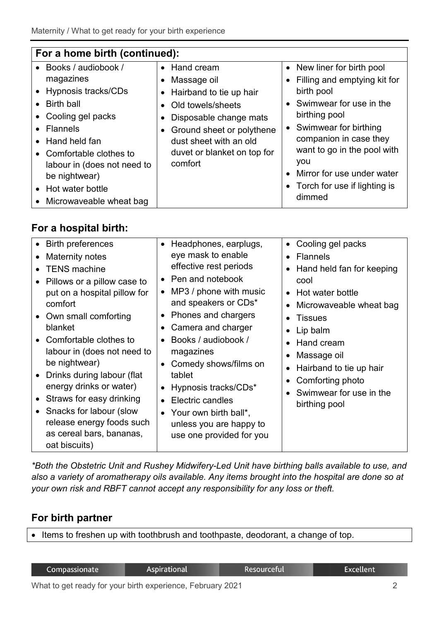| For a home birth (continued): |                             |                                         |  |  |  |
|-------------------------------|-----------------------------|-----------------------------------------|--|--|--|
| • Books / audiobook /         | • Hand cream                | • New liner for birth pool              |  |  |  |
| magazines                     | • Massage oil               | • Filling and emptying kit for          |  |  |  |
| • Hypnosis tracks/CDs         | • Hairband to tie up hair   | birth pool                              |  |  |  |
| <b>Birth ball</b>             | Old towels/sheets           | • Swimwear for use in the               |  |  |  |
| • Cooling gel packs           | Disposable change mats      | birthing pool                           |  |  |  |
| <b>Flannels</b>               | Ground sheet or polythene   | • Swimwear for birthing                 |  |  |  |
| • Hand held fan               | dust sheet with an old      | companion in case they                  |  |  |  |
| • Comfortable clothes to      | duvet or blanket on top for | want to go in the pool with             |  |  |  |
| labour in (does not need to   | comfort                     | you                                     |  |  |  |
| be nightwear)                 |                             | Mirror for use under water<br>$\bullet$ |  |  |  |
| • Hot water bottle            |                             | • Torch for use if lighting is          |  |  |  |
| • Microwaveable wheat bag     |                             | dimmed                                  |  |  |  |

# **For a hospital birth:**

| • Birth preferences<br>Maternity notes<br><b>TENS</b> machine<br>• Pillows or a pillow case to<br>put on a hospital pillow for<br>comfort<br>• Own small comforting<br>blanket<br>• Comfortable clothes to<br>labour in (does not need to<br>be nightwear)<br>• Drinks during labour (flat<br>energy drinks or water)<br>• Straws for easy drinking<br>• Snacks for labour (slow<br>release energy foods such<br>as cereal bars, bananas,<br>oat biscuits) | • Headphones, earplugs,<br>eye mask to enable<br>effective rest periods<br>• Pen and notebook<br>MP3 / phone with music<br>and speakers or CDs*<br><b>Phones and chargers</b><br>Camera and charger<br>Books / audiobook /<br>magazines<br>Comedy shows/films on<br>tablet<br>Hypnosis tracks/CDs*<br>Electric candles<br>• Your own birth ball*,<br>unless you are happy to<br>use one provided for you | Cooling gel packs<br>$\bullet$<br><b>Flannels</b><br>Hand held fan for keeping<br>cool<br>• Hot water bottle<br>Microwaveable wheat bag<br><b>Tissues</b><br>Lip balm<br>Hand cream<br>Massage oil<br>Hairband to tie up hair<br>Comforting photo<br>Swimwear for use in the<br>birthing pool |
|------------------------------------------------------------------------------------------------------------------------------------------------------------------------------------------------------------------------------------------------------------------------------------------------------------------------------------------------------------------------------------------------------------------------------------------------------------|----------------------------------------------------------------------------------------------------------------------------------------------------------------------------------------------------------------------------------------------------------------------------------------------------------------------------------------------------------------------------------------------------------|-----------------------------------------------------------------------------------------------------------------------------------------------------------------------------------------------------------------------------------------------------------------------------------------------|
|------------------------------------------------------------------------------------------------------------------------------------------------------------------------------------------------------------------------------------------------------------------------------------------------------------------------------------------------------------------------------------------------------------------------------------------------------------|----------------------------------------------------------------------------------------------------------------------------------------------------------------------------------------------------------------------------------------------------------------------------------------------------------------------------------------------------------------------------------------------------------|-----------------------------------------------------------------------------------------------------------------------------------------------------------------------------------------------------------------------------------------------------------------------------------------------|

*\*Both the Obstetric Unit and Rushey Midwifery-Led Unit have birthing balls available to use, and also a variety of aromatherapy oils available. Any items brought into the hospital are done so at your own risk and RBFT cannot accept any responsibility for any loss or theft.*

#### **For birth partner**

• Items to freshen up with toothbrush and toothpaste, deodorant, a change of top.

| Compassionate |  | <b>Aspirational</b> |  | <b>Resourceful</b> | <b>Excellent</b> |                             |  |  |
|---------------|--|---------------------|--|--------------------|------------------|-----------------------------|--|--|
| <b>A</b>      |  |                     |  |                    |                  | $\sim$ $\sim$ $\sim$ $\sim$ |  |  |